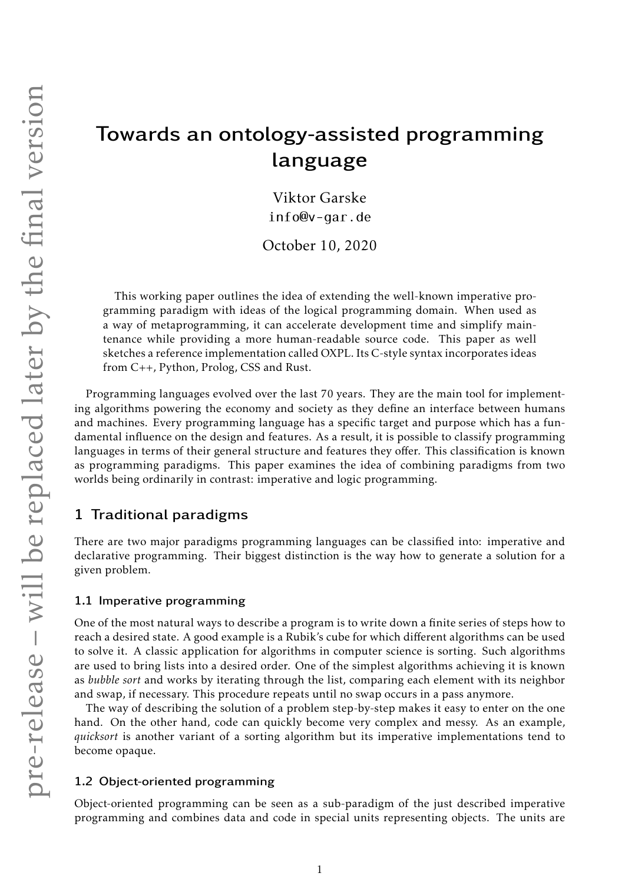# Towards an ontology-assisted programming language

Viktor Garske [info@v-gar.de](mailto:info@v-gar.de)

October 10, 2020

This working paper outlines the idea of extending the well-known imperative programming paradigm with ideas of the logical programming domain. When used as a way of metaprogramming, it can accelerate development time and simplify maintenance while providing a more human-readable source code. This paper as well sketches a reference implementation called OXPL. Its C-style syntax incorporates ideas from C++, Python, Prolog, CSS and Rust.

Programming languages evolved over the last 70 years. They are the main tool for implementing algorithms powering the economy and society as they define an interface between humans and machines. Every programming language has a specific target and purpose which has a fundamental influence on the design and features. As a result, it is possible to classify programming languages in terms of their general structure and features they offer. This classification is known as programming paradigms. This paper examines the idea of combining paradigms from two worlds being ordinarily in contrast: imperative and logic programming.

# 1 Traditional paradigms

There are two major paradigms programming languages can be classified into: imperative and declarative programming. Their biggest distinction is the way how to generate a solution for a given problem.

## 1.1 Imperative programming

One of the most natural ways to describe a program is to write down a finite series of steps how to reach a desired state. A good example is a Rubik's cube for which different algorithms can be used to solve it. A classic application for algorithms in computer science is sorting. Such algorithms are used to bring lists into a desired order. One of the simplest algorithms achieving it is known as *bubble sort* and works by iterating through the list, comparing each element with its neighbor and swap, if necessary. This procedure repeats until no swap occurs in a pass anymore.

The way of describing the solution of a problem step-by-step makes it easy to enter on the one hand. On the other hand, code can quickly become very complex and messy. As an example, *quicksort* is another variant of a sorting algorithm but its imperative implementations tend to become opaque.

## 1.2 Object-oriented programming

Object-oriented programming can be seen as a sub-paradigm of the just described imperative programming and combines data and code in special units representing objects. The units are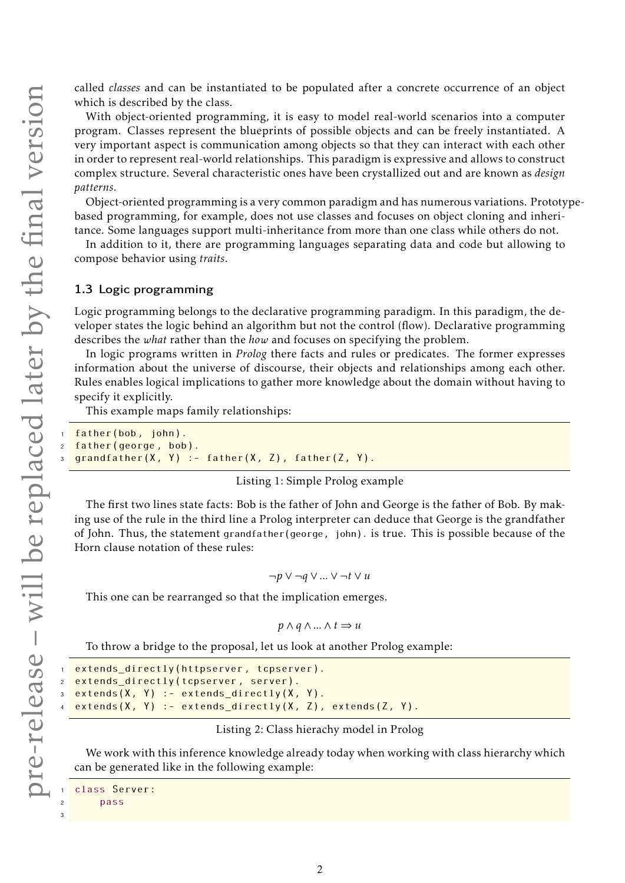called *classes* and can be instantiated to be populated after a concrete occurrence of an object which is described by the class.

With object-oriented programming, it is easy to model real-world scenarios into a computer program. Classes represent the blueprints of possible objects and can be freely instantiated. A very important aspect is communication among objects so that they can interact with each other in order to represent real-world relationships. This paradigm is expressive and allows to construct complex structure. Several characteristic ones have been crystallized out and are known as *design patterns*.

Object-oriented programming is a very common paradigm and has numerous variations. Prototypebased programming, for example, does not use classes and focuses on object cloning and inheritance. Some languages support multi-inheritance from more than one class while others do not.

In addition to it, there are programming languages separating data and code but allowing to compose behavior using *traits*.

## 1.3 Logic programming

Logic programming belongs to the declarative programming paradigm. In this paradigm, the developer states the logic behind an algorithm but not the control (flow). Declarative programming describes the *what* rather than the *how* and focuses on specifying the problem.

In logic programs written in *Prolog* there facts and rules or predicates. The former expresses information about the universe of discourse, their objects and relationships among each other. Rules enables logical implications to gather more knowledge about the domain without having to specify it explicitly.

This example maps family relationships:

```
father(bob, john).
father(george, bob).
grandfather(X, Y) :- father(X, Z), father(Z, Y).
```
## Listing 1: Simple Prolog example

The first two lines state facts: Bob is the father of John and George is the father of Bob. By making use of the rule in the third line a Prolog interpreter can deduce that George is the grandfather of John. Thus, the statement grandfather(george, john). is true. This is possible because of the Horn clause notation of these rules:

¬*p* ∨ ¬*q* ∨*...*∨ ¬*t* ∨*u*

This one can be rearranged so that the implication emerges.

$$
p \wedge q \wedge \dots \wedge t \Rightarrow u
$$

To throw a bridge to the proposal, let us look at another Prolog example:

```
extends directly(httpserver, tcpserver).
extends_directly(tcpserver, server).
extends(X, Y) :- extends_directly(X, Y).
extends(X, Y) :- extends_directly(X, Z), extends(Z, Y).
```
#### Listing 2: Class hierachy model in Prolog

We work with this inference knowledge already today when working with class hierarchy which can be generated like in the following example:

```
class Server:
    pass
```
3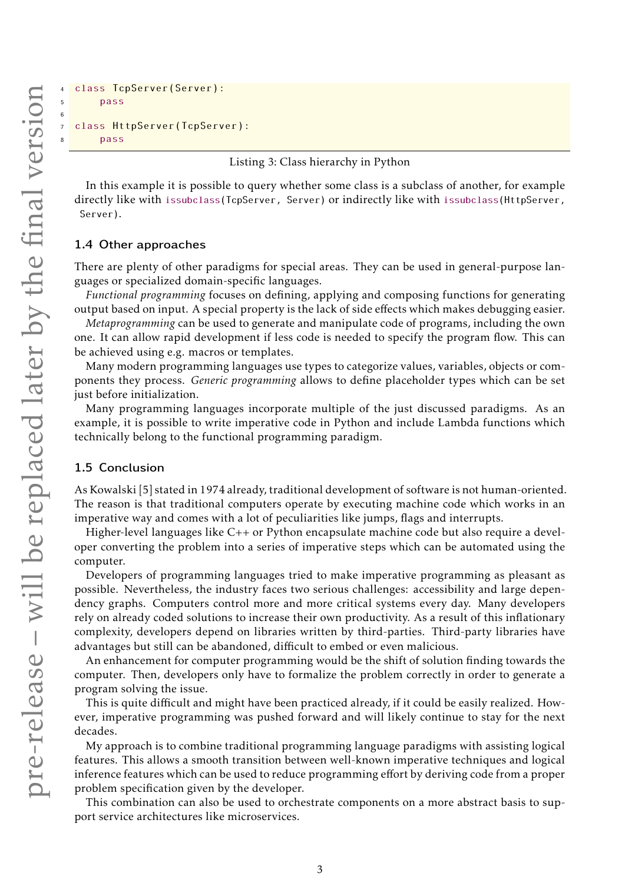6

```
4 class TcpServer(Server):
5 pass
  class HttpServer(TcpServer):
      pass
```
#### Listing 3: Class hierarchy in Python

In this example it is possible to query whether some class is a subclass of another, for example directly like with issubclass(TcpServer, Server) or indirectly like with issubclass(HttpServer, Server).

#### 1.4 Other approaches

There are plenty of other paradigms for special areas. They can be used in general-purpose languages or specialized domain-specific languages.

*Functional programming* focuses on defining, applying and composing functions for generating output based on input. A special property is the lack of side effects which makes debugging easier.

*Metaprogramming* can be used to generate and manipulate code of programs, including the own one. It can allow rapid development if less code is needed to specify the program flow. This can be achieved using e.g. macros or templates.

Many modern programming languages use types to categorize values, variables, objects or components they process. *Generic programming* allows to define placeholder types which can be set just before initialization.

Many programming languages incorporate multiple of the just discussed paradigms. As an example, it is possible to write imperative code in Python and include Lambda functions which technically belong to the functional programming paradigm.

#### 1.5 Conclusion

As Kowalski [\[5\]](#page-9-0) stated in 1974 already, traditional development of software is not human-oriented. The reason is that traditional computers operate by executing machine code which works in an imperative way and comes with a lot of peculiarities like jumps, flags and interrupts.

Higher-level languages like C++ or Python encapsulate machine code but also require a developer converting the problem into a series of imperative steps which can be automated using the computer.

Developers of programming languages tried to make imperative programming as pleasant as possible. Nevertheless, the industry faces two serious challenges: accessibility and large dependency graphs. Computers control more and more critical systems every day. Many developers rely on already coded solutions to increase their own productivity. As a result of this inflationary complexity, developers depend on libraries written by third-parties. Third-party libraries have advantages but still can be abandoned, difficult to embed or even malicious.

An enhancement for computer programming would be the shift of solution finding towards the computer. Then, developers only have to formalize the problem correctly in order to generate a program solving the issue.

This is quite difficult and might have been practiced already, if it could be easily realized. However, imperative programming was pushed forward and will likely continue to stay for the next decades.

My approach is to combine traditional programming language paradigms with assisting logical features. This allows a smooth transition between well-known imperative techniques and logical inference features which can be used to reduce programming effort by deriving code from a proper problem specification given by the developer.

This combination can also be used to orchestrate components on a more abstract basis to support service architectures like microservices.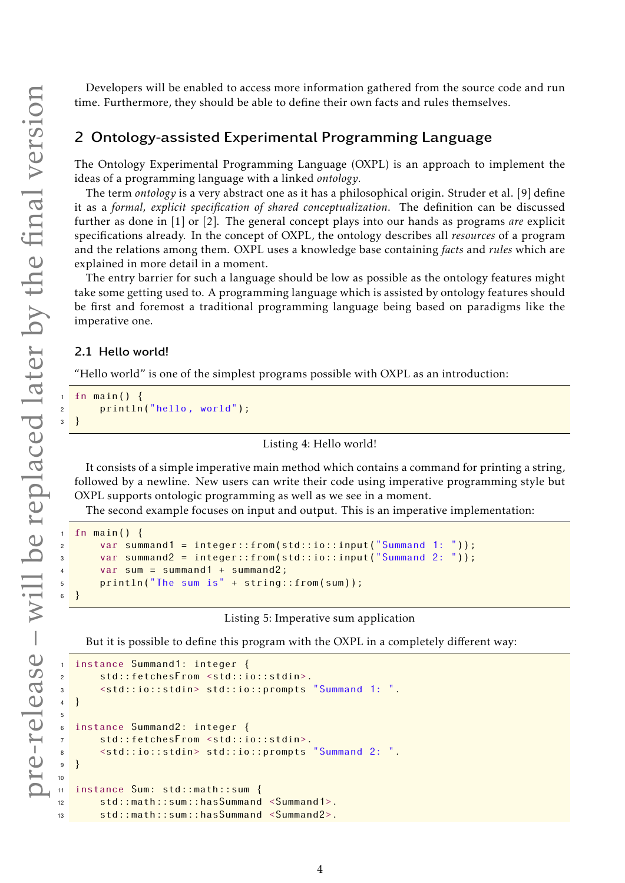Developers will be enabled to access more information gathered from the source code and run time. Furthermore, they should be able to define their own facts and rules themselves.

## 2 Ontology-assisted Experimental Programming Language

The Ontology Experimental Programming Language (OXPL) is an approach to implement the ideas of a programming language with a linked *ontology*.

The term *ontology* is a very abstract one as it has a philosophical origin. Struder et al. [\[9\]](#page-9-1) define it as a *formal, explicit specification of shared conceptualization*. The definition can be discussed further as done in [\[1\]](#page-9-2) or [\[2\]](#page-9-3). The general concept plays into our hands as programs *are* explicit specifications already. In the concept of OXPL, the ontology describes all *resources* of a program and the relations among them. OXPL uses a knowledge base containing *facts* and *rules* which are explained in more detail in a moment.

The entry barrier for such a language should be low as possible as the ontology features might take some getting used to. A programming language which is assisted by ontology features should be first and foremost a traditional programming language being based on paradigms like the imperative one.

## 2.1 Hello world!

"Hello world" is one of the simplest programs possible with OXPL as an introduction:

```
fn main() \{println("hello, world");
3 }
```
## Listing 4: Hello world!

It consists of a simple imperative main method which contains a command for printing a string, followed by a newline. New users can write their code using imperative programming style but OXPL supports ontologic programming as well as we see in a moment.

The second example focuses on input and output. This is an imperative implementation:

```
fn main() \{var summand1 = integer::from(std::io::input("Summand 1: "));
      var summand2 = integer::from(std::io::input("Summand 2: "));
      var \ sum = summand1 + summand2;5 println("The sum is" + string::from(sum));
  \}
```
#### Listing 5: Imperative sum application

But it is possible to define this program with the OXPL in a completely different way:

```
instance Summand1: integer {
2 std:: fetchesFrom <std::io::stdin>.
3 <std::io::stdin> std::io:: prompts "Summand 1: ".
4 }
5
  instance Summand2: integer {
7 std:: fetchesFrom <std::io::stdin>.
      8 <std::io::stdin> std::io:: prompts "Summand 2: ".
9 }
10
11 instance Sum: std::math::sum {
12 std::math::sum:: hasSummand <Summand1>.
13 std::math::sum:: hasSummand <Summand2>.
```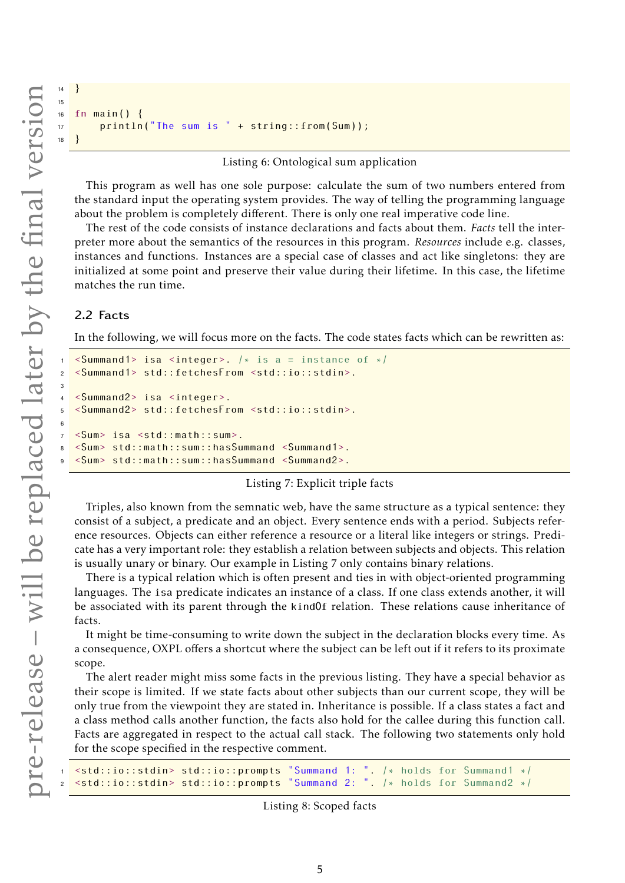3

6

```
16 fn main() {
17 println("The sum is " + string ::from(Sum));
18 }
```
Listing 6: Ontological sum application

This program as well has one sole purpose: calculate the sum of two numbers entered from the standard input the operating system provides. The way of telling the programming language about the problem is completely different. There is only one real imperative code line.

The rest of the code consists of instance declarations and facts about them. *Facts* tell the interpreter more about the semantics of the resources in this program. *Resources* include e.g. classes, instances and functions. Instances are a special case of classes and act like singletons: they are initialized at some point and preserve their value during their lifetime. In this case, the lifetime matches the run time.

## 2.2 Facts

<sup>14</sup> } 15

In the following, we will focus more on the facts. The code states facts which can be rewritten as:

```
\leqSummand1> isa \leqinteger>. /* is a = instance of */
2 <Summand1> std:: fetchesFrom <std::io::stdin>.
4 <Summand2> isa <integer>.
5 <Summand2> std:: fetchesFrom <std::io::stdin>.
7 <Sum> isa <std::math::sum>.
8 <Sum> std::math::sum:: hasSummand <Summand1>.
9 <Sum> std::math::sum:: hasSummand <Summand2>.
```
#### Listing 7: Explicit triple facts

Triples, also known from the semnatic web, have the same structure as a typical sentence: they consist of a subject, a predicate and an object. Every sentence ends with a period. Subjects reference resources. Objects can either reference a resource or a literal like integers or strings. Predicate has a very important role: they establish a relation between subjects and objects. This relation is usually unary or binary. Our example in [Listing 7](#page-4-0) only contains binary relations.

There is a typical relation which is often present and ties in with object-oriented programming languages. The isa predicate indicates an instance of a class. If one class extends another, it will be associated with its parent through the kindOf relation. These relations cause inheritance of facts.

It might be time-consuming to write down the subject in the declaration blocks every time. As a consequence, OXPL offers a shortcut where the subject can be left out if it refers to its proximate scope.

The alert reader might miss some facts in the previous listing. They have a special behavior as their scope is limited. If we state facts about other subjects than our current scope, they will be only true from the viewpoint they are stated in. Inheritance is possible. If a class states a fact and a class method calls another function, the facts also hold for the callee during this function call. Facts are aggregated in respect to the actual call stack. The following two statements only hold for the scope specified in the respective comment.

```
1 <std::io::stdin> std::io:: prompts "Summand 1: ". /* holds for Summand1 */
\lestd::io::stdin> std::io::prompts "Summand 2:
```

```
Listing 8: Scoped facts
```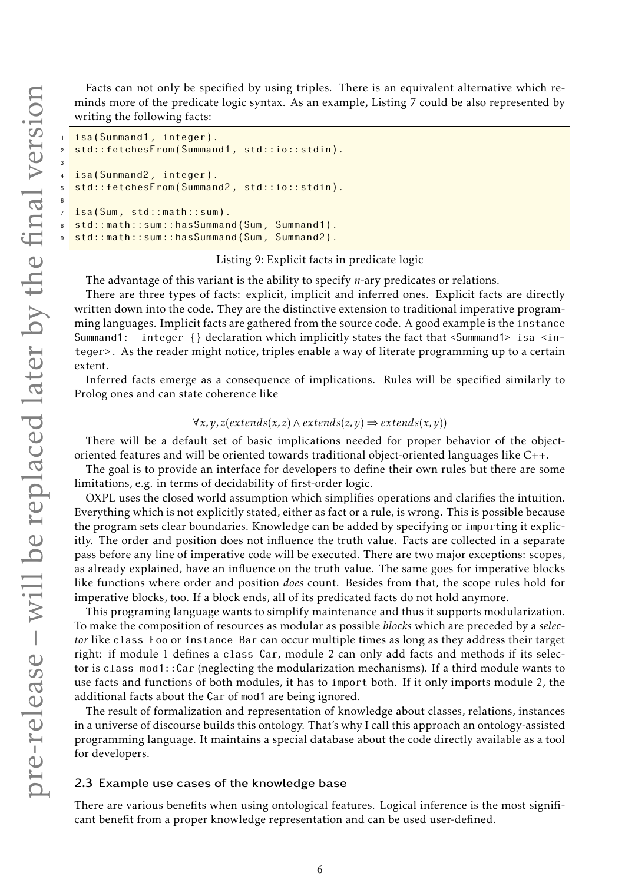3

6

Facts can not only be specified by using triples. There is an equivalent alternative which reminds more of the predicate logic syntax. As an example, [Listing 7](#page-4-0) could be also represented by writing the following facts:

```
isa(Summand1, integer).
  std::fetchesFrom(Summand1, std::io::stdin).
  isa(Summand2, integer).
  5 std:: fetchesFrom(Summand2 , std::io::stdin).
  isa(Sum, std::math::sum).
8 std::math::sum:: hasSummand(Sum , Summand1).
  std::math::sum::hasSummand(Sum, Summand2).
```
## Listing 9: Explicit facts in predicate logic

The advantage of this variant is the ability to specify *n*-ary predicates or relations.

There are three types of facts: explicit, implicit and inferred ones. Explicit facts are directly written down into the code. They are the distinctive extension to traditional imperative programming languages. Implicit facts are gathered from the source code. A good example is the instance Summand1: integer {} declaration which implicitly states the fact that <Summand1> isa <integer>. As the reader might notice, triples enable a way of literate programming up to a certain extent.

Inferred facts emerge as a consequence of implications. Rules will be specified similarly to Prolog ones and can state coherence like

## ∀*x,y, z*(*extends*(*x, z*)∧*extends*(*z,y*) ⇒ *extends*(*x,y*))

There will be a default set of basic implications needed for proper behavior of the objectoriented features and will be oriented towards traditional object-oriented languages like C++.

The goal is to provide an interface for developers to define their own rules but there are some limitations, e.g. in terms of decidability of first-order logic.

OXPL uses the closed world assumption which simplifies operations and clarifies the intuition. Everything which is not explicitly stated, either as fact or a rule, is wrong. This is possible because the program sets clear boundaries. Knowledge can be added by specifying or importing it explicitly. The order and position does not influence the truth value. Facts are collected in a separate pass before any line of imperative code will be executed. There are two major exceptions: scopes, as already explained, have an influence on the truth value. The same goes for imperative blocks like functions where order and position *does* count. Besides from that, the scope rules hold for imperative blocks, too. If a block ends, all of its predicated facts do not hold anymore.

This programing language wants to simplify maintenance and thus it supports modularization. To make the composition of resources as modular as possible *blocks* which are preceded by a *selector* like class Foo or instance Bar can occur multiple times as long as they address their target right: if module 1 defines a class Car, module 2 can only add facts and methods if its selector is class mod1::Car (neglecting the modularization mechanisms). If a third module wants to use facts and functions of both modules, it has to import both. If it only imports module 2, the additional facts about the Car of mod1 are being ignored.

The result of formalization and representation of knowledge about classes, relations, instances in a universe of discourse builds this ontology. That's why I call this approach an ontology-assisted programming language. It maintains a special database about the code directly available as a tool for developers.

#### 2.3 Example use cases of the knowledge base

There are various benefits when using ontological features. Logical inference is the most significant benefit from a proper knowledge representation and can be used user-defined.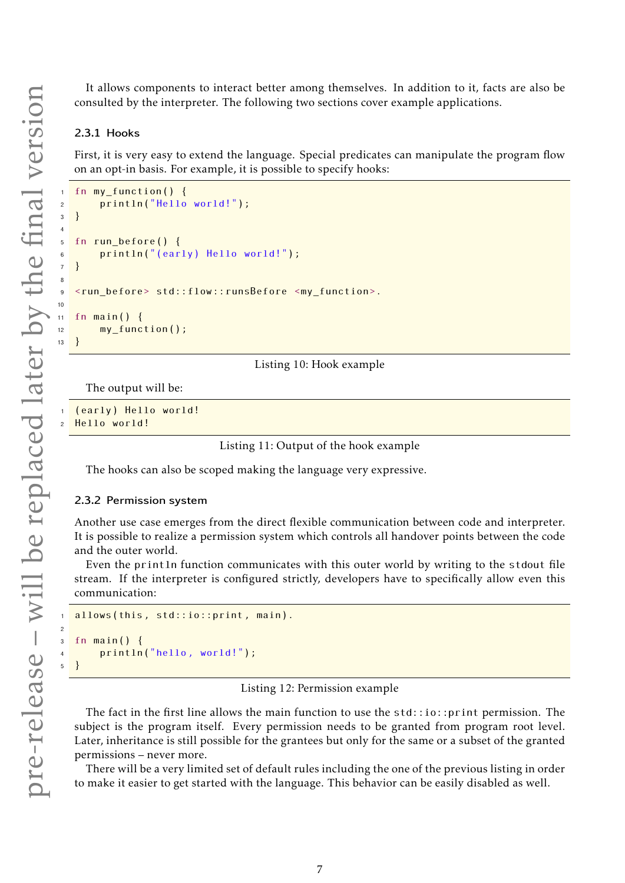It allows components to interact better among themselves. In addition to it, facts are also be consulted by the interpreter. The following two sections cover example applications.

## 2.3.1 Hooks

4

8

10

 $\overline{1}$ 

2

First, it is very easy to extend the language. Special predicates can manipulate the program flow on an opt-in basis. For example, it is possible to specify hooks:

```
fn my function () {
2 println("Hello world!");
3 }
5 fn run_before () {
6 println("(early) Hello world!");
7 }
9 <run_before> std::flow:: runsBefore <my_function>.
11 fn main() {
12 my_function();
```
Listing 10: Hook example

The output will be:

(early) Hello world! Hello world!

Listing 11: Output of the hook example

The hooks can also be scoped making the language very expressive.

#### 2.3.2 Permission system

Another use case emerges from the direct flexible communication between code and interpreter. It is possible to realize a permission system which controls all handover points between the code and the outer world.

Even the println function communicates with this outer world by writing to the stdout file stream. If the interpreter is configured strictly, developers have to specifically allow even this communication:

```
allows(this, std::io::print, main).
3 fn main() {
4 println("hello , world!");
  5 }
```
#### Listing 12: Permission example

The fact in the first line allows the main function to use the  $std::io::print$  permission. The subject is the program itself. Every permission needs to be granted from program root level. Later, inheritance is still possible for the grantees but only for the same or a subset of the granted permissions – never more.

There will be a very limited set of default rules including the one of the previous listing in order to make it easier to get started with the language. This behavior can be easily disabled as well.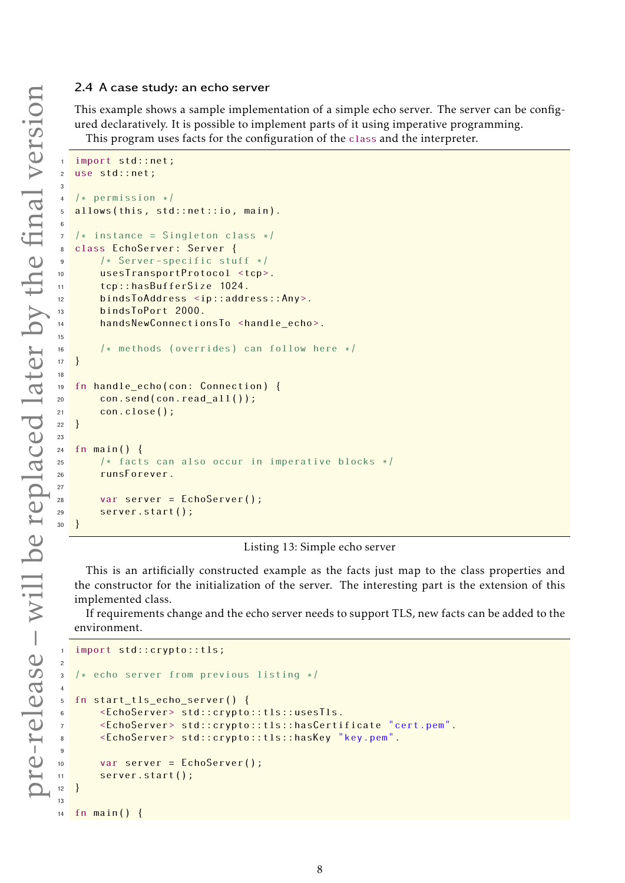This example shows a sample implementation of a simple echo server. The server can be configured declaratively. It is possible to implement parts of it using imperative programming. This program uses facts for the configuration of the class and the interpreter.

import std::net; use std::net;  $/*$  permission  $*/$ allows(this, std::net::io, main).  $7 / *$  instance = Singleton class  $*/$  class EchoServer: Server { /\* Server -specific stuff \*/ usesTransportProtocol <tcp>. tcp:: hasBufferSize 1024. bindsToAddress <ip:: address ::Any>. **bindsToPort 2000.**  handsNewConnectionsTo <handle\_echo>. /\* methods (overrides) can follow here \*/ } fn handle\_echo(con: Connection) { con.send(con.read\_all ()); 21 con.close(); } fn main() { /\* facts can also occur in imperative blocks \*/ runsForever. var server = EchoServer (); server.start(); }

## Listing 13: Simple echo server

This is an artificially constructed example as the facts just map to the class properties and the constructor for the initialization of the server. The interesting part is the extension of this implemented class.

If requirements change and the echo server needs to support TLS, new facts can be added to the environment.

```
import std:: crypto:: tls;
\overline{2}3 /* echo server from previous listing */
4
5 fn start tls echo server () {
6 <EchoServer> std:: crypto ::tls:: usesTls.
7 <EchoServer> std:: crypto ::tls:: hasCertificate "cert.pem".
       8 <EchoServer> std:: crypto ::tls:: hasKey "key.pem".
9
10 var server = EchoServer();
11 server.start();
12 }
13
```
fn main() {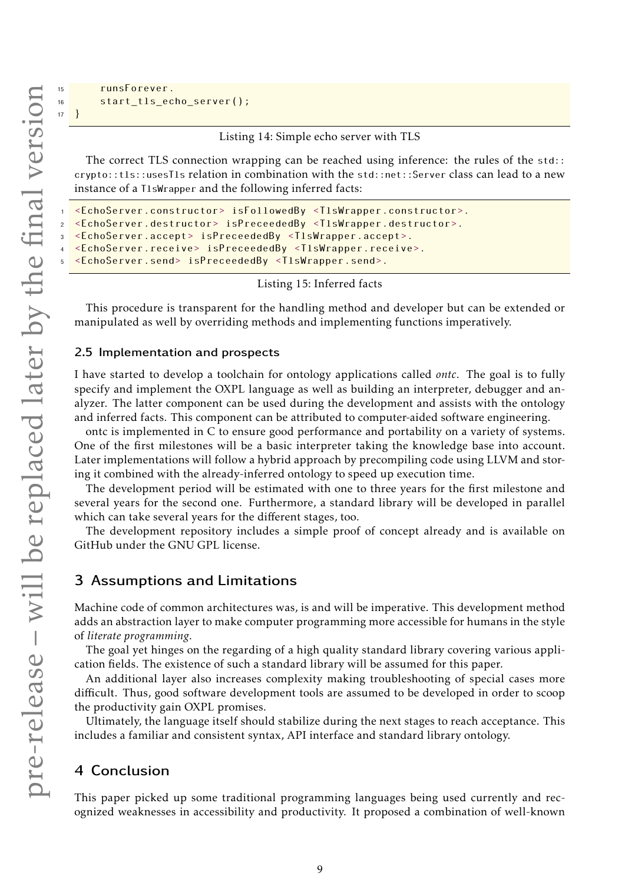```
15 runsForever.
16 start_tls_echo_server ();
17 }
```
Listing 14: Simple echo server with TLS

The correct TLS connection wrapping can be reached using inference: the rules of the std:: crypto::tls::usesTls relation in combination with the std::net::Server class can lead to a new instance of a TlsWrapper and the following inferred facts:

```
1 <EchoServer.constructor> isFollowedBy <TlsWrapper.constructor>.
2 <EchoServer.destructor> isPreceededBy <TlsWrapper.destructor>.
3 <EchoServer.accept> isPreceededBy <TlsWrapper.accept>.
4 <EchoServer.receive> isPreceededBy <TlsWrapper.receive>.
  5 <EchoServer.send> isPreceededBy <TlsWrapper.send>.
```
Listing 15: Inferred facts

This procedure is transparent for the handling method and developer but can be extended or manipulated as well by overriding methods and implementing functions imperatively.

## 2.5 Implementation and prospects

I have started to develop a toolchain for ontology applications called *ontc*. The goal is to fully specify and implement the OXPL language as well as building an interpreter, debugger and analyzer. The latter component can be used during the development and assists with the ontology and inferred facts. This component can be attributed to computer-aided software engineering.

ontc is implemented in C to ensure good performance and portability on a variety of systems. One of the first milestones will be a basic interpreter taking the knowledge base into account. Later implementations will follow a hybrid approach by precompiling code using LLVM and storing it combined with the already-inferred ontology to speed up execution time.

The development period will be estimated with one to three years for the first milestone and several years for the second one. Furthermore, a standard library will be developed in parallel which can take several years for the different stages, too.

The development repository includes a simple proof of concept already and is available on [GitHub](https://github.com/v-gar/ontc) under the GNU GPL license.

## 3 Assumptions and Limitations

Machine code of common architectures was, is and will be imperative. This development method adds an abstraction layer to make computer programming more accessible for humans in the style of *literate programming*.

The goal yet hinges on the regarding of a high quality standard library covering various application fields. The existence of such a standard library will be assumed for this paper.

An additional layer also increases complexity making troubleshooting of special cases more difficult. Thus, good software development tools are assumed to be developed in order to scoop the productivity gain OXPL promises.

Ultimately, the language itself should stabilize during the next stages to reach acceptance. This includes a familiar and consistent syntax, API interface and standard library ontology.

## 4 Conclusion

This paper picked up some traditional programming languages being used currently and recognized weaknesses in accessibility and productivity. It proposed a combination of well-known